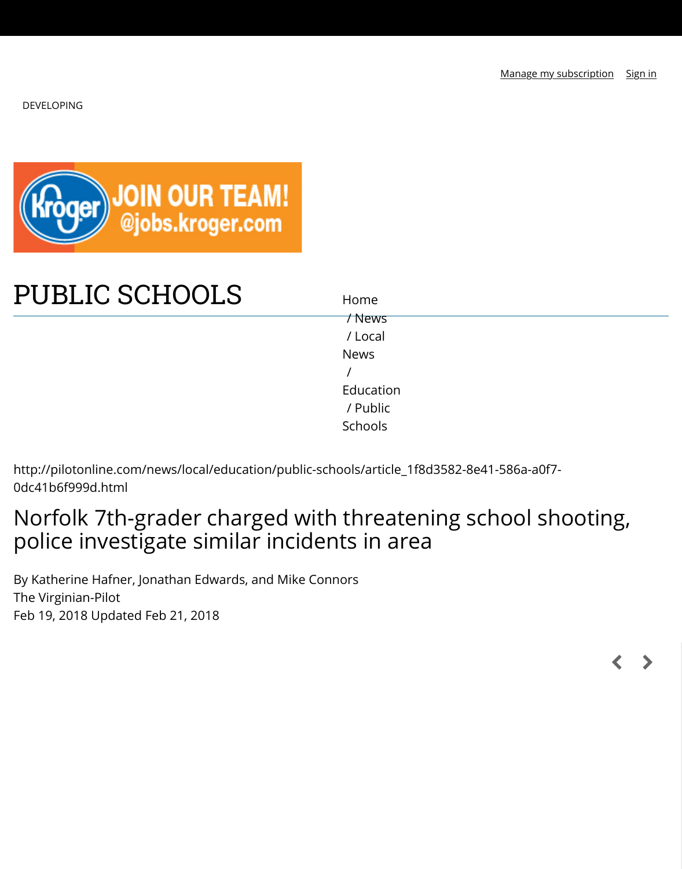

# [PUBLIC SCHOOLS](https://pilotonline.com/news/nation-world/national/article_dd8f1f74-278e-5243-a858-bbe2588f67d5.html)

/ News / Local News / Education / Public Schools

Home

[http://pilotonline.com/news/local/educa](https://pilotonline.com/news/local/education/public-schools)tion/public-schoo[ls/artic](https://pilotonline.com/news/)le\_1f8d3582-8e41-586a-a0f 0dc41b6f999d.html

## Norfolk 7th-grader charged with [thre](https://pilotonline.com/news/local/)atening school sl police investigate similar inciden[ts in ar](https://pilotonline.com/news/local/education/)ea

By Katherine Hafner, Jonathan Edwards, and Mike Conn[ors](https://pilotonline.com/news/local/education/public-schools/)  The Virginian-Pilot Feb 19, 2018 Updated Feb 21, 2018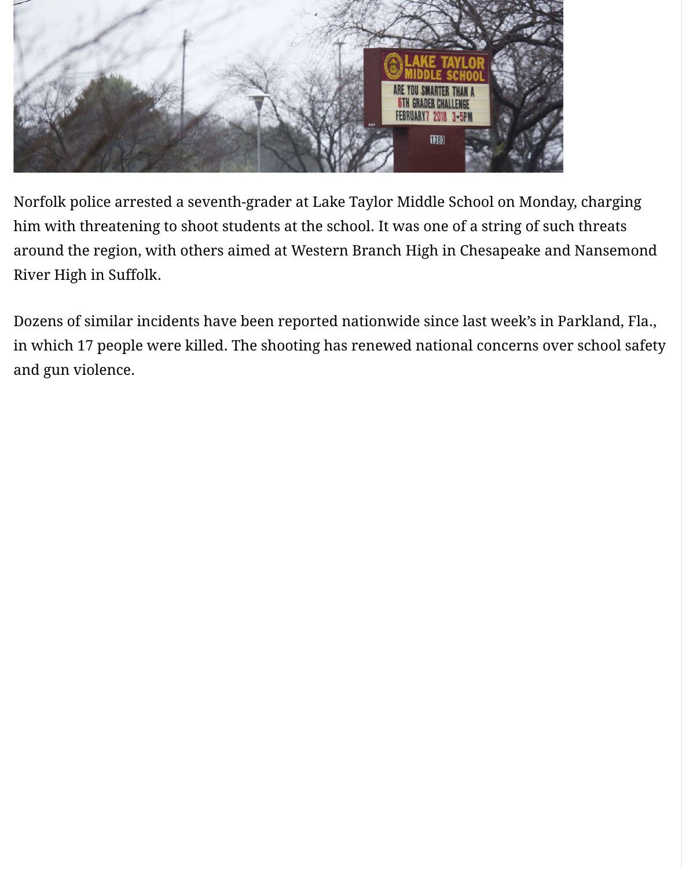

Dozens of similar incidents have been reported nationwide since last week's ir in which 17 people were killed. The shooting has renewed national concerns o and gun violence.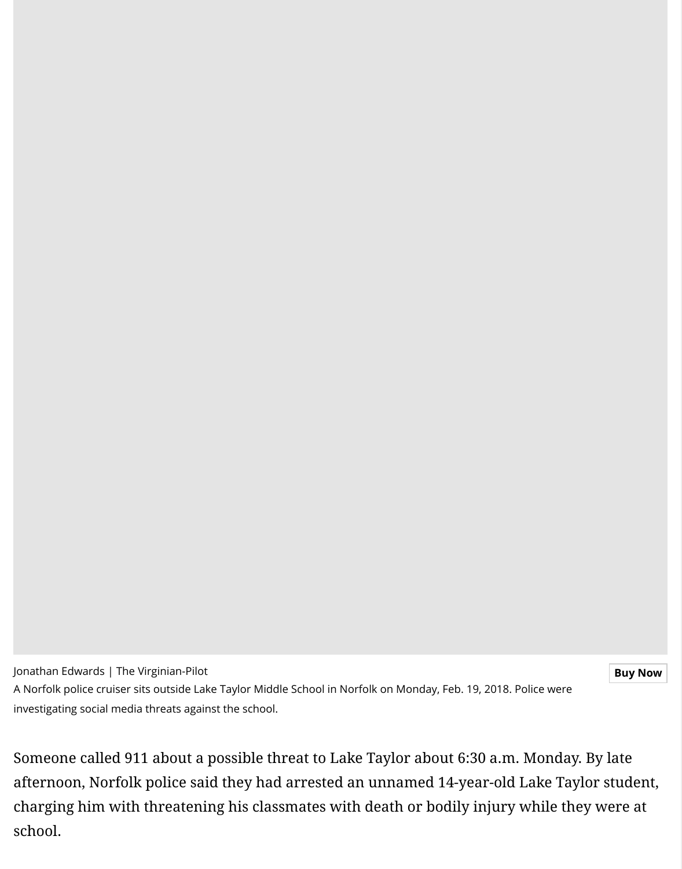Jonathan Edwards | The Virginian-Pilot

A Norfolk police cruiser sits outside Lake Taylor Middle School in Norfolk on Monday, Feb. 19, 2018. Police v investigating social media threats against the school.

Someone called 911 about a possible threat to Lake Taylor about 6:30 a.m. Mor afternoon, Norfolk police said they had arrested an unnamed 14-year-old Lake charging him with threatening his classmates with death or bodily injury whil [school.](https://pilotonline.com/users/profile/jonathan%20edwards)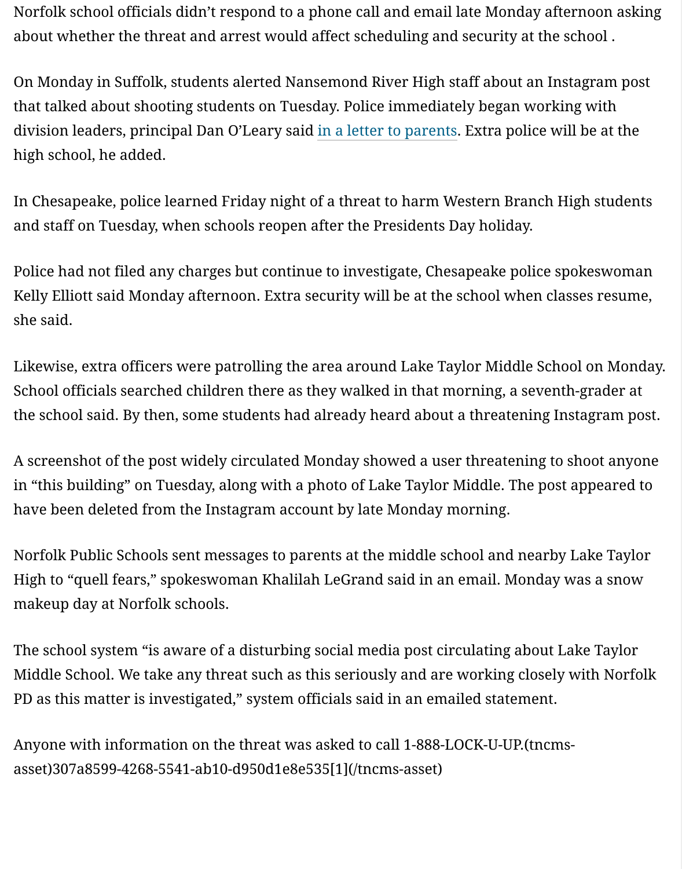high school, he added.

In Chesapeake, police learned Friday night of a threat to harm Western Branch and staff on Tuesday, when schools reopen after the Presidents Day holiday.

Police had not filed any charges but continue to investigate, Chesapeake police Kelly Elliott said Monday afternoon. Extra s[ecurity will be at the s](https://www.facebook.com/NansemondRiverHighSchool/photos/a.969274409801955.1073741838.257335494329187/1825724584156929/?type=3&theater)chool when o she said.

Likewise, extra officers were patrolling the area around Lake Taylor Middle Sc School officials searched children there as they walked in that morning, a seve the school said. By then, some students had already heard about a threatening

A screenshot of the post widely circulated Monday showed a user threatening in "this building" on Tuesday, along with a photo of Lake Taylor Middle. The po have been deleted from the Instagram account by late Monday morning.

Norfolk Public Schools sent messages to parents at the middle school and near High to "quell fears," spokeswoman Khalilah LeGrand said in an email. Monda makeup day at Norfolk schools.

The school system "is aware of a disturbing social media post circulating about Middle School. We take any threat such as this seriously and are working close PD as this matter is investigated," system officials said in an emailed statement

Anyone with information on the threat was asked to call 1-888-LOCK-U-UP.(tncmsasset)307a8599-4268-5541-ab10-d950d1e8e535[1](/tncms-asset)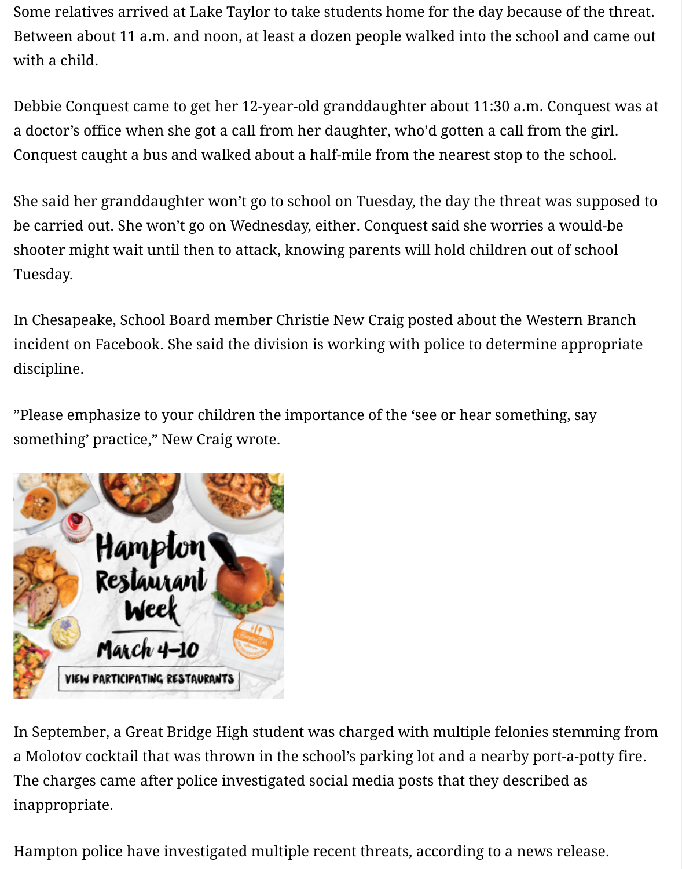Conquest caught a bus and walked about a half-mile from the nearest stop to the school.

She said her granddaughter won't go to school on Tuesday, the day the threat v be carried out. She won't go on Wednesday, either. Conquest said she worries a shooter might wait until then to attack, knowing parents will hold children out Tuesday.

In Chesapeake, School Board member Christie New Craig posted about the Western incident on Facebook. She said the division is working with police to determine discipline.

"Please emphasize to your children the importance of the 'see or hear somethi something' practice," New Craig wrote.



[In September, a Great Bridge High stude](http://googleads.g.doubleclick.net/pcs/click?xai=AKAOjsuSQIn93Zpe0YtkKRNUhife5Cc9O76EiQD-blBRWe3-ZHr2Ik1CAsPBrsbHEdVBOjuXQz63L8juM4MmpeyDdgxkuqX6dE5lMS8GzYqpv_MrOK7yznVUR_bBb1g7tT5pnWfI59KvXSzmpmG4AGMkAqoy9i9nQJxOVI34i-Yeuf5cj5Xpg0lNVTC5jJwoYWtxb7ayqi7xcrngdiYDnV13CB7EqrHqmFb7AAj95xzMLL3WTC2wjVbpzjEGXBqgRKZMs7IAQwSrDvbGmm7P0Pk0ELCmjoxLbYY0yKI&sig=Cg0ArKJSzOtfHe5H-1Lw&adurl=http://visithampton.com/restaurantweek/%3Futm_source%3Dpol-targetedpackage%26utm_medium%3Ddisplay)nt was charged with multiple felonies a Molotov cocktail that was thrown in the school's parking lot and a nearby po The charges came after police investigated social media posts that they described as  $\alpha$ inappropriate.

Hampton police have investigated multiple recent threats, according to a news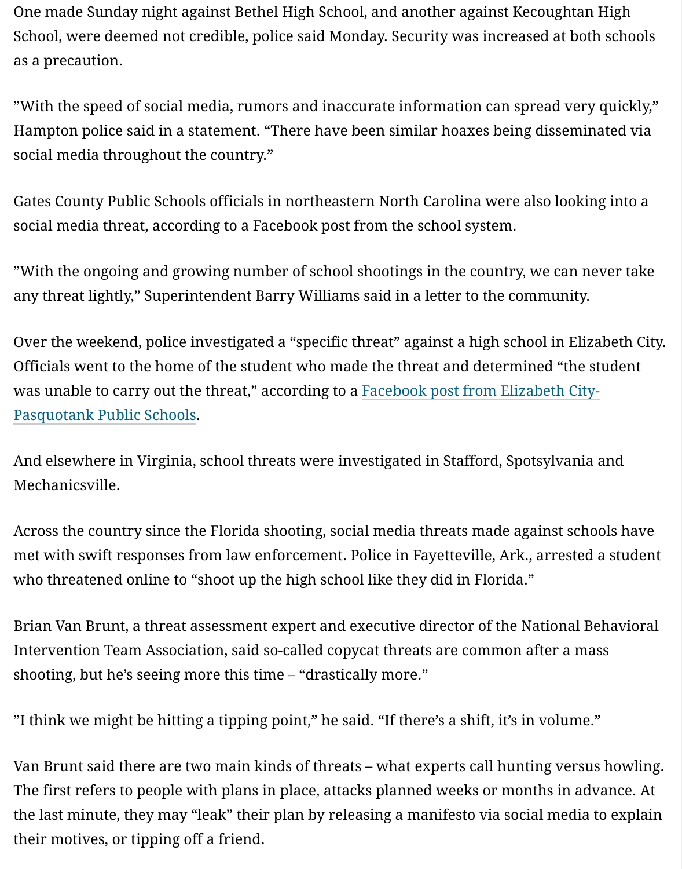social media throughout the country."

Gates County Public Schools officials in northeastern North Carolina were also social media threat, according to a Facebook post from the school system.

"With the ongoing and growing number of school shootings in the country, we any threat lightly," Superintendent Barry Williams said in a letter to the comm

Over the weekend, police investigated a "specific threat" against a high school Officials went to the home of the student who made the threat and determined was unable to carry out the threat," according to a Facebook post from Elizabe Pasquotank Public Schools.

And elsewhere in Virginia, school threats were investigated in Stafford, Spotsy Mechanicsville.

Across the country since the Florida shooting, social media threats made again met with swift responses from law enforcement. Police in Fayetteville, Ark., ar who threatened online to "shoot up the high school like they did in Florida."

Brian Van Brunt, a threat assessment expert and executive director of the National Behavioral Behavioral Behavioral B Intervention Team Association, said so-called copycat threats are common after a mass of the mass of mass and mass are common after a mass  $\alpha$ shooting, but he's seeing more this time – "drastically more."

"I think we might be hitting a tipping point," he said. "If there's a shift, it's in vo

Van Brunt said there are two main kinds of threats – what experts call hunting The first refers to people with plans in place, attacks planned weeks or months the last minute, they may "leak" their plan by releasing a manifesto via social  $\mathbf n$ their motives, or tipping off a friend.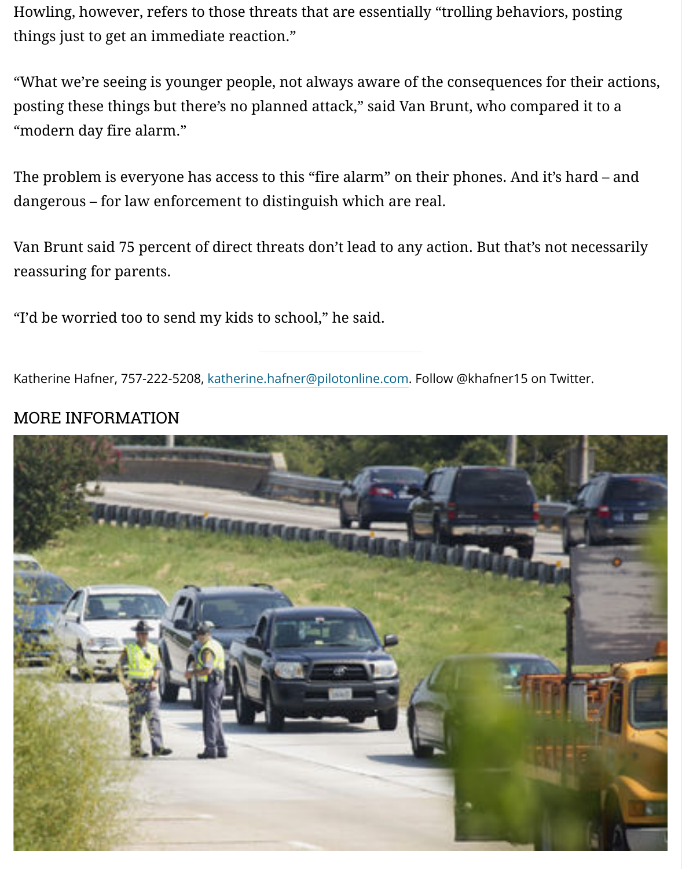The problem is everyone has access to this "fire alarm" on their phones. And it dangerous – for law enforcement to distinguish which are real.

Van Brunt said 75 percent of direct threats don't lead to any action. But that's r reassuring for parents.

"I'd be worried too to send my kids to school," he said.

Katherine Hafner, 757-222-5208, katherine.hafner@pilotonline.com. Follow @khafner15 on

### MORE INFORMATION